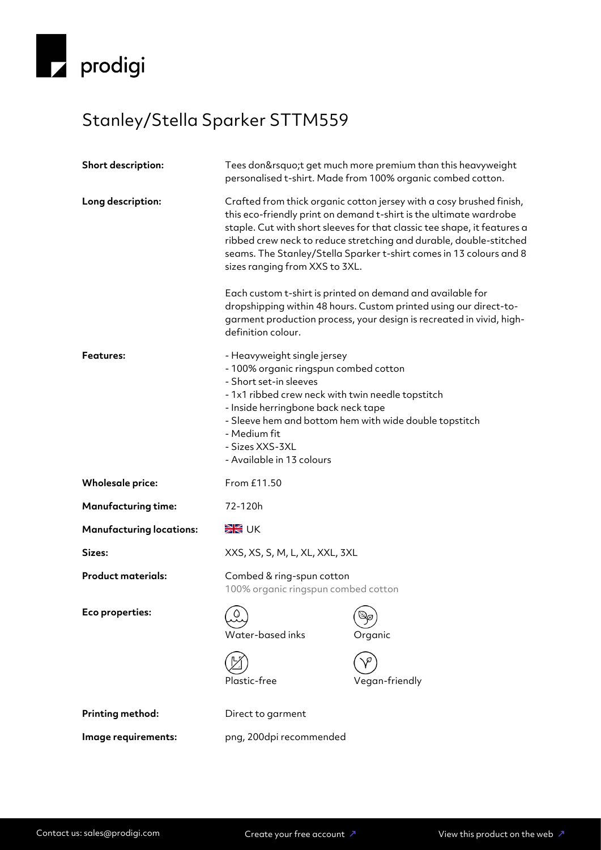

## Stanley/Stella Sparker STTM559

| <b>Short description:</b>       | Tees don't get much more premium than this heavyweight<br>personalised t-shirt. Made from 100% organic combed cotton.                                                                                                                                                                                                |                                                                                                                                                                                                                                                                                                                                                                     |
|---------------------------------|----------------------------------------------------------------------------------------------------------------------------------------------------------------------------------------------------------------------------------------------------------------------------------------------------------------------|---------------------------------------------------------------------------------------------------------------------------------------------------------------------------------------------------------------------------------------------------------------------------------------------------------------------------------------------------------------------|
| Long description:               | sizes ranging from XXS to 3XL.                                                                                                                                                                                                                                                                                       | Crafted from thick organic cotton jersey with a cosy brushed finish,<br>this eco-friendly print on demand t-shirt is the ultimate wardrobe<br>staple. Cut with short sleeves for that classic tee shape, it features a<br>ribbed crew neck to reduce stretching and durable, double-stitched<br>seams. The Stanley/Stella Sparker t-shirt comes in 13 colours and 8 |
|                                 | definition colour.                                                                                                                                                                                                                                                                                                   | Each custom t-shirt is printed on demand and available for<br>dropshipping within 48 hours. Custom printed using our direct-to-<br>garment production process, your design is recreated in vivid, high-                                                                                                                                                             |
| <b>Features:</b>                | - Heavyweight single jersey<br>- 100% organic ringspun combed cotton<br>- Short set-in sleeves<br>- 1x1 ribbed crew neck with twin needle topstitch<br>- Inside herringbone back neck tape<br>- Sleeve hem and bottom hem with wide double topstitch<br>- Medium fit<br>- Sizes XXS-3XL<br>- Available in 13 colours |                                                                                                                                                                                                                                                                                                                                                                     |
| <b>Wholesale price:</b>         | From £11.50                                                                                                                                                                                                                                                                                                          |                                                                                                                                                                                                                                                                                                                                                                     |
| <b>Manufacturing time:</b>      | 72-120h                                                                                                                                                                                                                                                                                                              |                                                                                                                                                                                                                                                                                                                                                                     |
| <b>Manufacturing locations:</b> | <b>SK</b> UK                                                                                                                                                                                                                                                                                                         |                                                                                                                                                                                                                                                                                                                                                                     |
| Sizes:                          | XXS, XS, S, M, L, XL, XXL, 3XL                                                                                                                                                                                                                                                                                       |                                                                                                                                                                                                                                                                                                                                                                     |
| <b>Product materials:</b>       | Combed & ring-spun cotton<br>100% organic ringspun combed cotton                                                                                                                                                                                                                                                     |                                                                                                                                                                                                                                                                                                                                                                     |
| Eco properties:                 | $\Omega$<br>Water-based inks                                                                                                                                                                                                                                                                                         | Organic                                                                                                                                                                                                                                                                                                                                                             |
|                                 | Plastic-free                                                                                                                                                                                                                                                                                                         | Vegan-friendly                                                                                                                                                                                                                                                                                                                                                      |
| Printing method:                | Direct to garment                                                                                                                                                                                                                                                                                                    |                                                                                                                                                                                                                                                                                                                                                                     |
|                                 | png, 200dpi recommended                                                                                                                                                                                                                                                                                              |                                                                                                                                                                                                                                                                                                                                                                     |